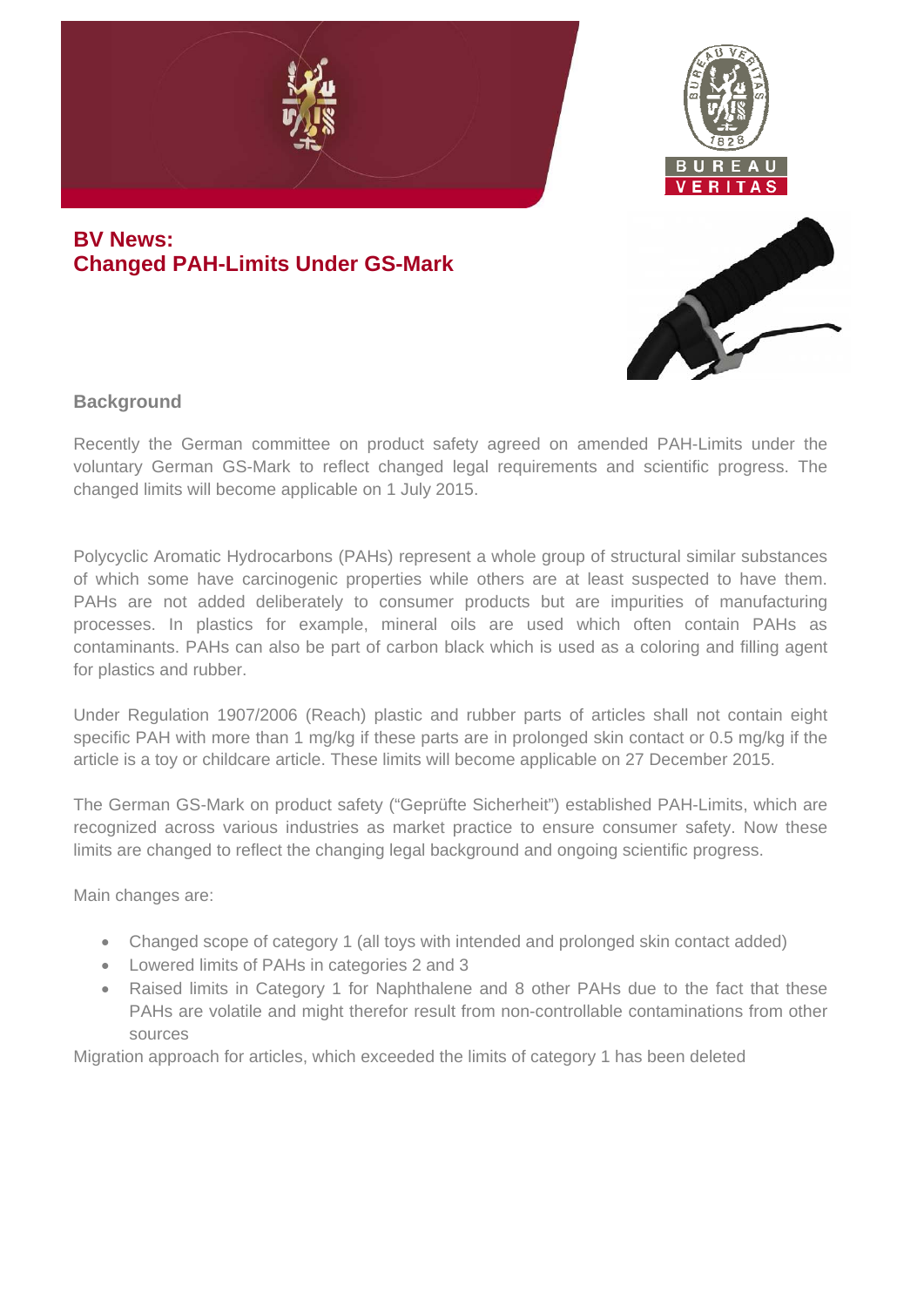

# **BV News: Changed PAH-Limits Under GS-Mark**





## **Background**

Recently the German committee on product safety agreed on amended PAH-Limits under the voluntary German GS-Mark to reflect changed legal requirements and scientific progress. The changed limits will become applicable on 1 July 2015.

Polycyclic Aromatic Hydrocarbons (PAHs) represent a whole group of structural similar substances of which some have carcinogenic properties while others are at least suspected to have them. PAHs are not added deliberately to consumer products but are impurities of manufacturing processes. In plastics for example, mineral oils are used which often contain PAHs as contaminants. PAHs can also be part of carbon black which is used as a coloring and filling agent for plastics and rubber.

Under Regulation 1907/2006 (Reach) plastic and rubber parts of articles shall not contain eight specific PAH with more than 1 mg/kg if these parts are in prolonged skin contact or 0.5 mg/kg if the article is a toy or childcare article. These limits will become applicable on 27 December 2015.

The German GS-Mark on product safety ("Geprüfte Sicherheit") established PAH-Limits, which are recognized across various industries as market practice to ensure consumer safety. Now these limits are changed to reflect the changing legal background and ongoing scientific progress.

Main changes are:

- Changed scope of category 1 (all toys with intended and prolonged skin contact added)
- Lowered limits of PAHs in categories 2 and 3
- Raised limits in Category 1 for Naphthalene and 8 other PAHs due to the fact that these PAHs are volatile and might therefor result from non-controllable contaminations from other sources

Migration approach for articles, which exceeded the limits of category 1 has been deleted